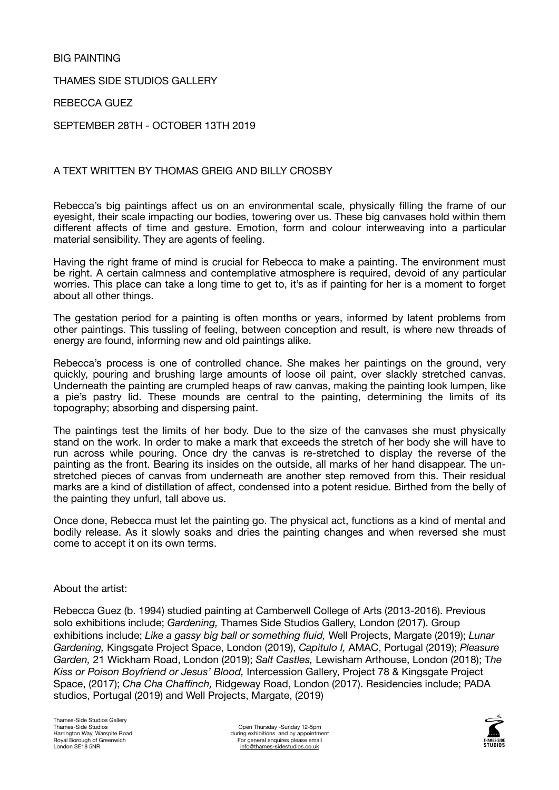## BIG PAINTING

THAMES SIDE STUDIOS GALLERY

REBECCA GUEZ

SEPTEMBER 28TH - OCTOBER 13TH 2019

## A TEXT WRITTEN BY THOMAS GREIG AND BILLY CROSBY

Rebecca's big paintings affect us on an environmental scale, physically filling the frame of our eyesight, their scale impacting our bodies, towering over us. These big canvases hold within them different affects of time and gesture. Emotion, form and colour interweaving into a particular material sensibility. They are agents of feeling.

Having the right frame of mind is crucial for Rebecca to make a painting. The environment must be right. A certain calmness and contemplative atmosphere is required, devoid of any particular worries. This place can take a long time to get to, it's as if painting for her is a moment to forget about all other things.

The gestation period for a painting is often months or years, informed by latent problems from other paintings. This tussling of feeling, between conception and result, is where new threads of energy are found, informing new and old paintings alike.

Rebecca's process is one of controlled chance. She makes her paintings on the ground, very quickly, pouring and brushing large amounts of loose oil paint, over slackly stretched canvas. Underneath the painting are crumpled heaps of raw canvas, making the painting look lumpen, like a pie's pastry lid. These mounds are central to the painting, determining the limits of its topography; absorbing and dispersing paint.

The paintings test the limits of her body. Due to the size of the canvases she must physically stand on the work. In order to make a mark that exceeds the stretch of her body she will have to run across while pouring. Once dry the canvas is re-stretched to display the reverse of the painting as the front. Bearing its insides on the outside, all marks of her hand disappear. The unstretched pieces of canvas from underneath are another step removed from this. Their residual marks are a kind of distillation of affect, condensed into a potent residue. Birthed from the belly of the painting they unfurl, tall above us.

Once done, Rebecca must let the painting go. The physical act, functions as a kind of mental and bodily release. As it slowly soaks and dries the painting changes and when reversed she must come to accept it on its own terms.

## About the artist:

Rebecca Guez (b. 1994) studied painting at Camberwell College of Arts (2013-2016). Previous solo exhibitions include; *Gardening,* Thames Side Studios Gallery, London (2017). Group exhibitions include; *Like a gassy big ball or something fluid,* Well Projects, Margate (2019); *Lunar Gardening,* Kingsgate Project Space, London (2019), *Capitulo I,* AMAC, Portugal (2019); *Pleasure Garden,* 21 Wickham Road, London (2019); *Salt Castles,* Lewisham Arthouse, London (2018); T*he Kiss or Poison Boyfriend or Jesus' Blood,* Intercession Gallery, Project 78 & Kingsgate Project Space, (2017); *Cha Cha Chaffinch,* Ridgeway Road, London (2017). Residencies include; PADA studios, Portugal (2019) and Well Projects, Margate, (2019)

Open Thursday -Sunday 12-5pm during exhibitions and by appointment For general enquires please email [info@thames-sidestudios.co.uk](mailto:info@thames-sidestudios.co.uk)